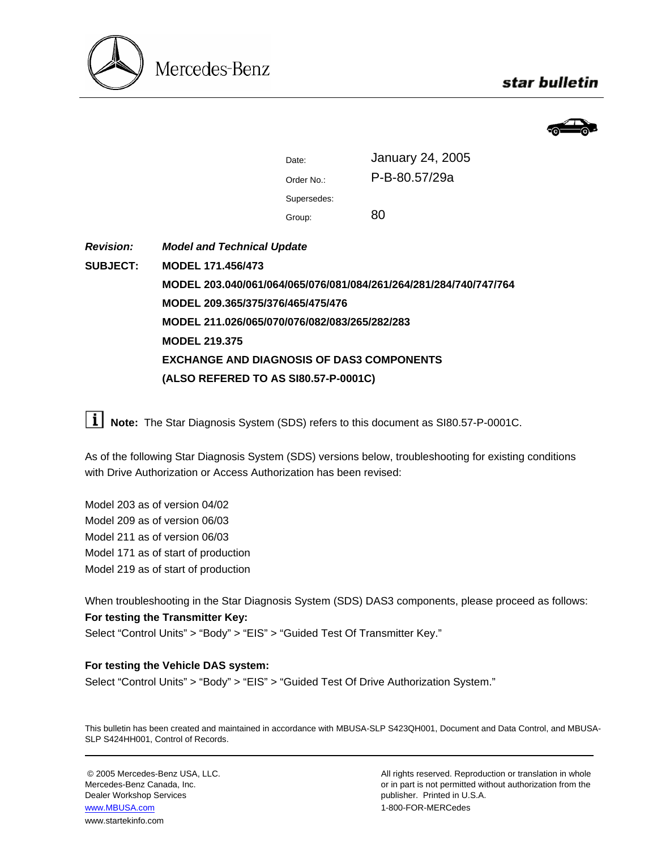

## star bulletin



| Date:       | <b>January 24, 2005</b> |
|-------------|-------------------------|
| Order No.:  | P-B-80.57/29a           |
| Supersedes: |                         |
| Group:      | 80                      |

*Revision:*  **SUBJECT:** *Model and Technical Update*  **MODEL 171.456/473 MODEL 203.040/061/064/065/076/081/084/261/264/281/284/740/747/764 MODEL 209.365/375/376/465/475/476 MODEL 211.026/065/070/076/082/083/265/282/283 MODEL 219.375 EXCHANGE AND DIAGNOSIS OF DAS3 COMPONENTS (ALSO REFERED TO AS SI80.57-P-0001C)**

**Note:** The Star Diagnosis System (SDS) refers to this document as SI80.57-P-0001C.

As of the following Star Diagnosis System (SDS) versions below, troubleshooting for existing conditions with Drive Authorization or Access Authorization has been revised:

Model 203 as of version 04/02 Model 209 as of version 06/03 Model 211 as of version 06/03 Model 171 as of start of production Model 219 as of start of production

When troubleshooting in the Star Diagnosis System (SDS) DAS3 components, please proceed as follows: **For testing the Transmitter Key:**

Select "Control Units" > "Body" > "EIS" > "Guided Test Of Transmitter Key."

## **For testing the Vehicle DAS system:**

Select "Control Units" > "Body" > "EIS" > "Guided Test Of Drive Authorization System."

This bulletin has been created and maintained in accordance with MBUSA-SLP S423QH001, Document and Data Control, and MBUSA-SLP S424HH001, Control of Records.

Dealer Workshop Services publisher. Printed in U.S.A. www.MBUSA.com 1-800-FOR-MERCedes www.startekinfo.com

© 2005 Mercedes-Benz USA, LLC. All rights reserved. Reproduction or translation in whole Mercedes-Benz Canada, Inc. **or in part is not permitted without authorization from the** or in part is not permitted without authorization from the